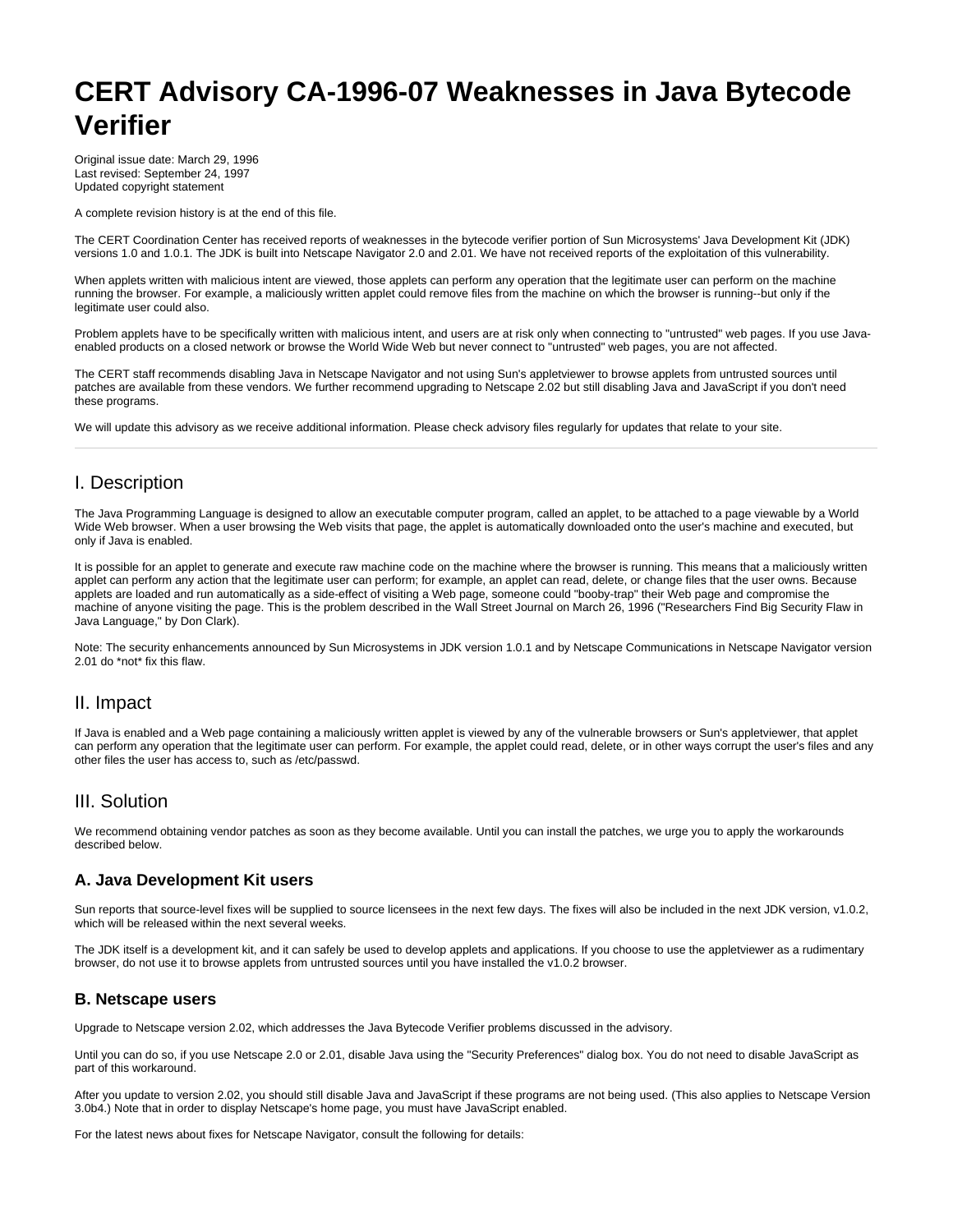# **CERT Advisory CA-1996-07 Weaknesses in Java Bytecode Verifier**

Original issue date: March 29, 1996 Last revised: September 24, 1997 Updated copyright statement

A complete revision history is at the end of this file.

The CERT Coordination Center has received reports of weaknesses in the bytecode verifier portion of Sun Microsystems' Java Development Kit (JDK) versions 1.0 and 1.0.1. The JDK is built into Netscape Navigator 2.0 and 2.01. We have not received reports of the exploitation of this vulnerability.

When applets written with malicious intent are viewed, those applets can perform any operation that the legitimate user can perform on the machine running the browser. For example, a maliciously written applet could remove files from the machine on which the browser is running--but only if the legitimate user could also.

Problem applets have to be specifically written with malicious intent, and users are at risk only when connecting to "untrusted" web pages. If you use Javaenabled products on a closed network or browse the World Wide Web but never connect to "untrusted" web pages, you are not affected.

The CERT staff recommends disabling Java in Netscape Navigator and not using Sun's appletviewer to browse applets from untrusted sources until patches are available from these vendors. We further recommend upgrading to Netscape 2.02 but still disabling Java and JavaScript if you don't need these programs.

We will update this advisory as we receive additional information. Please check advisory files regularly for updates that relate to your site.

## I. Description

The Java Programming Language is designed to allow an executable computer program, called an applet, to be attached to a page viewable by a World Wide Web browser. When a user browsing the Web visits that page, the applet is automatically downloaded onto the user's machine and executed, but only if Java is enabled.

It is possible for an applet to generate and execute raw machine code on the machine where the browser is running. This means that a maliciously written applet can perform any action that the legitimate user can perform; for example, an applet can read, delete, or change files that the user owns. Because applets are loaded and run automatically as a side-effect of visiting a Web page, someone could "booby-trap" their Web page and compromise the machine of anyone visiting the page. This is the problem described in the Wall Street Journal on March 26, 1996 ("Researchers Find Big Security Flaw in Java Language," by Don Clark).

Note: The security enhancements announced by Sun Microsystems in JDK version 1.0.1 and by Netscape Communications in Netscape Navigator version 2.01 do \*not\* fix this flaw.

## II. Impact

If Java is enabled and a Web page containing a maliciously written applet is viewed by any of the vulnerable browsers or Sun's appletviewer, that applet can perform any operation that the legitimate user can perform. For example, the applet could read, delete, or in other ways corrupt the user's files and any other files the user has access to, such as /etc/passwd.

#### III. Solution

We recommend obtaining vendor patches as soon as they become available. Until you can install the patches, we urge you to apply the workarounds described below.

#### **A. Java Development Kit users**

Sun reports that source-level fixes will be supplied to source licensees in the next few days. The fixes will also be included in the next JDK version, v1.0.2, which will be released within the next several weeks.

The JDK itself is a development kit, and it can safely be used to develop applets and applications. If you choose to use the appletviewer as a rudimentary browser, do not use it to browse applets from untrusted sources until you have installed the v1.0.2 browser.

#### **B. Netscape users**

Upgrade to Netscape version 2.02, which addresses the Java Bytecode Verifier problems discussed in the advisory.

Until you can do so, if you use Netscape 2.0 or 2.01, disable Java using the "Security Preferences" dialog box. You do not need to disable JavaScript as part of this workaround.

After you update to version 2.02, you should still disable Java and JavaScript if these programs are not being used. (This also applies to Netscape Version 3.0b4.) Note that in order to display Netscape's home page, you must have JavaScript enabled.

For the latest news about fixes for Netscape Navigator, consult the following for details: